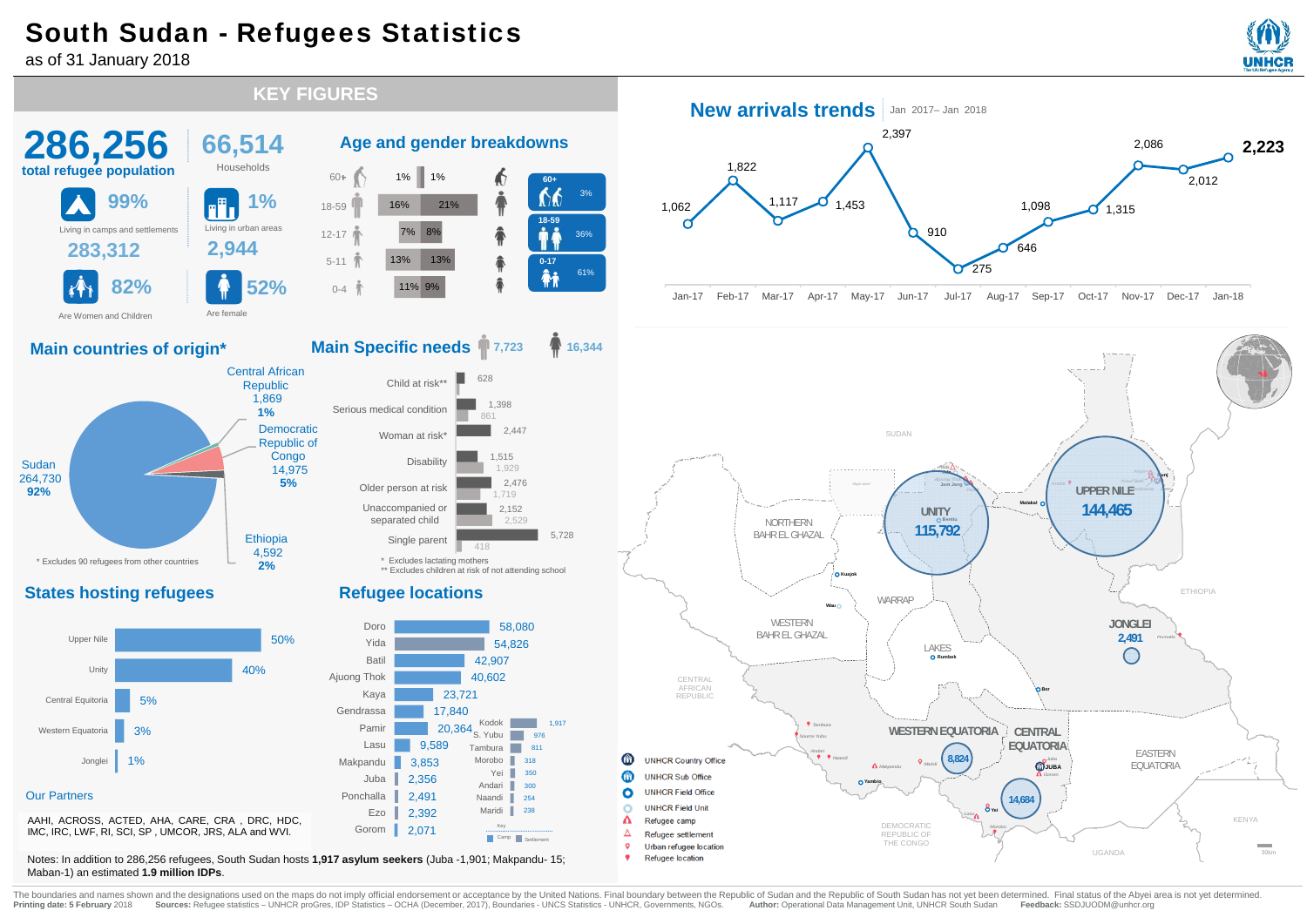## South Sudan - Refugees Statistics

**66,514** Households

**1%**

Central African Republic 1,869 **1%**Democratic Republic of **Congo** 14,975 **5%**

> **Ethiopia** 4,592 **2%**

as of 31 January 2018

**286,256 total refugee population**

**99%**

**283,312 2,944** Living in camps and settlements Living in urban areas

**82% 52%**

Are female

**Main countries of origin\***

Are Women and Children

Sudan264,730 **92%**



 $\lambda$ 

*Lasu*

DEMOCRATIC REPUBLIC OF THE CONGO

G! **Yei** F

**14,684**

UGANDA

KENYA

30km

AAHI, ACROSS, ACTED, AHA, CARE, CRA , DRC, HDC, IMC, IRC, LWF, RI, SCI, SP , UMCOR, JRS, ALA and WVI.

Notes: In addition to 286,256 refugees, South Sudan hosts **1,917 asylum seekers** (Juba -1,901; Makpandu- 15; Maban-1) an estimated **1.9 million IDPs**.

The boundaries and names shown and the designations used on the maps do not imply official endorsement or acceptance by the United Nations. Final boundary between the Republic of Sudan and the Republic of South Sudan has n Printing date: 5 February 2018 Sources: Refugee statistics - UNHCR proGres, IDP Statistics - OCHA (December, 2017), Boundaries - UNCS Statistics - UNHCR, Governments, NGOs. Author: Operational Data Management Unit, UNHCR S

r Λ **UNHCR Field Unit** 

Urban refugee location Refugee location

Refugee camp Refugee settlement

**States hosting refugees**

\* Excludes 90 refugees from other countries



 18-5960+12-175-11

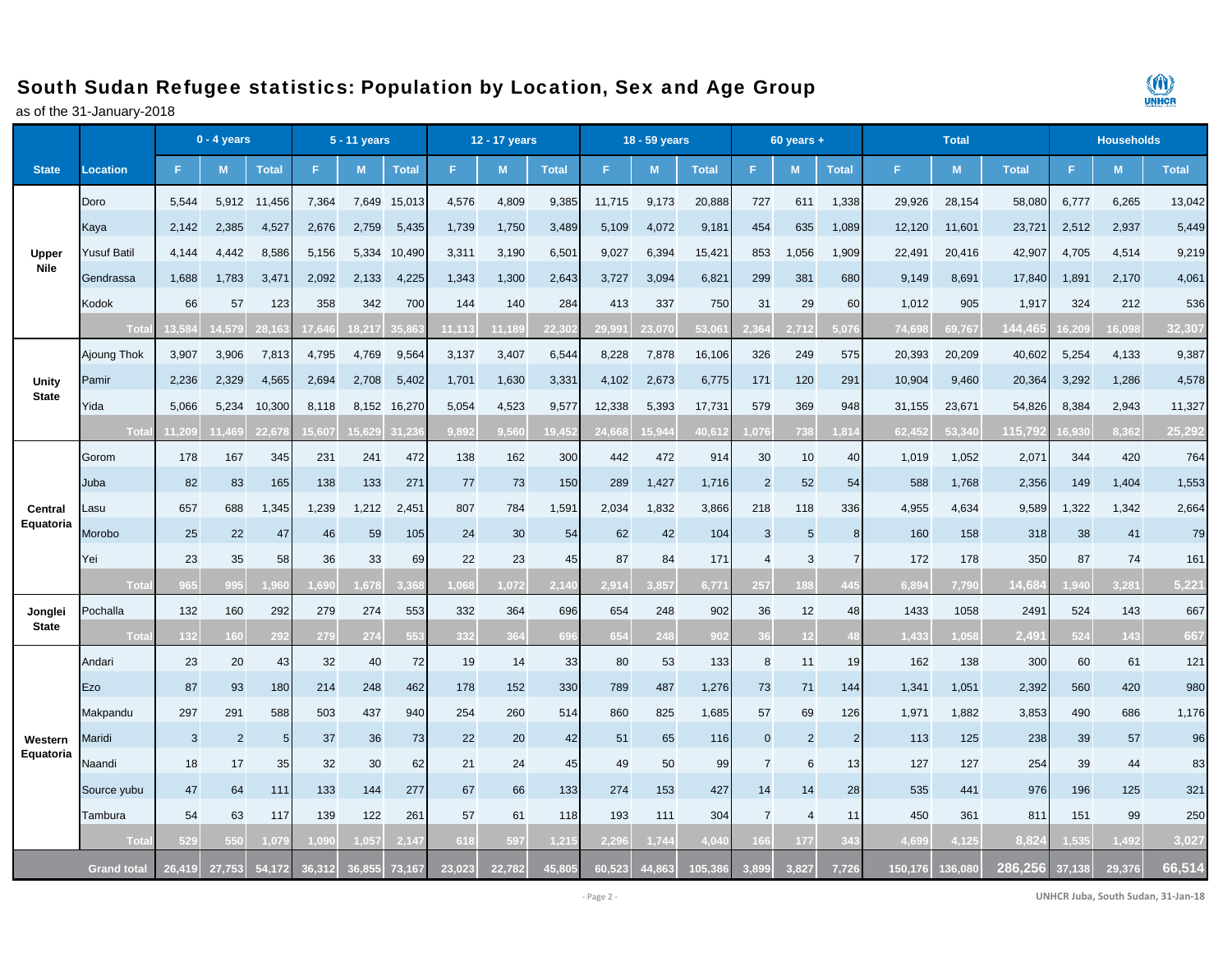## South Sudan Refugee statistics: Population by Location, Sex and Age Group

as of the 31-January-2018



|                         |                    | $0 - 4$ years |                |                 |        | 5 - 11 years |              | 12 - 17 years |        |              | 18 - 59 years |        |              |                | $60$ years +   |                |         |        | <b>Households</b> |        |        |              |
|-------------------------|--------------------|---------------|----------------|-----------------|--------|--------------|--------------|---------------|--------|--------------|---------------|--------|--------------|----------------|----------------|----------------|---------|--------|-------------------|--------|--------|--------------|
| <b>State</b>            | Location           | F.            | M              | <b>Total</b>    | Е      | M            | <b>Total</b> | F.            | M      | <b>Total</b> | F             | M      | <b>Total</b> | F.             | M              | <b>Total</b>   | F.      | M      | <b>Total</b>      | F.     | M      | <b>Total</b> |
|                         | Doro               | 5,544         | 5,912          | 11,456          | 7,364  | 7,649        | 15,013       | 4,576         | 4,809  | 9,385        | 11,715        | 9,173  | 20,888       | 727            | 611            | 1,338          | 29,926  | 28,154 | 58,080            | 6,777  | 6,265  | 13,042       |
|                         | Kaya               | 2,142         | 2,385          | 4,527           | 2,676  | 2,759        | 5,435        | 1,739         | 1,750  | 3,489        | 5,109         | 4,072  | 9,181        | 454            | 635            | 1,089          | 12,120  | 11,601 | 23,72'            | 2,512  | 2,937  | 5,449        |
| Upper                   | <b>Yusuf Batil</b> | 4,144         | 4.442          | 8,586           | 5,156  | 5,334        | 10,490       | 3,311         | 3,190  | 6,501        | 9,027         | 6,394  | 15,421       | 853            | 1,056          | 1,909          | 22,491  | 20,416 | 42,907            | 4,705  | 4,514  | 9,219        |
| <b>Nile</b>             | Gendrassa          | 1,688         | 1,783          | 3,471           | 2,092  | 2,133        | 4,225        | 1,343         | 1,300  | 2,643        | 3,727         | 3,094  | 6,821        | 299            | 381            | 680            | 9,149   | 8,691  | 17,840            | 1,891  | 2,170  | 4,061        |
|                         | Kodok              | 66            | 57             | 123             | 358    | 342          | 700          | 144           | 140    | 284          | 413           | 337    | 750          | 31             | 29             | 60             | 1,012   | 905    | 1,917             | 324    | 212    | 536          |
|                         | Tota               | 3.584         | 4.579          | 28.16           | 7.646  | 8.217        | eta k        | 11,113        | 11.189 | 22.30        | 29.99'        | 23.070 | 53.06        | 2 R G          | 2.712          | 5.07           | 74.698  | 69.767 | 44.46             | 6,209  | 16.098 | 32,307       |
|                         | Ajoung Thok        | 3,907         | 3,906          | 7,813           | 4,795  | 4,769        | 9,564        | 3,137         | 3,407  | 6,544        | 8,228         | 7,878  | 16,106       | 326            | 249            | 575            | 20,393  | 20,209 | 40,602            | 5,254  | 4,133  | 9,387        |
| Unity                   | Pamir              | 2,236         | 2,329          | 4,565           | 2,694  | 2,708        | 5,402        | 1,701         | 1,630  | 3,331        | 4,102         | 2,673  | 6,775        | 171            | 120            | 291            | 10,904  | 9,460  | 20,364            | 3,292  | 1,286  | 4,578        |
| <b>State</b>            | Yida               | 5,066         | 5,234          | 10,300          | 8,118  | 8,152        | 16,270       | 5,054         | 4,523  | 9,577        | 12,338        | 5,393  | 17,731       | 579            | 369            | 948            | 31,155  | 23,671 | 54,826            | 8,384  | 2,943  | 11,327       |
|                         | Tota               | 11,209        | 1,469          | 22,678          | 15,607 | 15.629       | 31.23        | 9.892         | 9,560  | 19,45        | 24,668        | 15,944 | 40,61        | 1,076          | 738            | ,814           | 62,452  | 53,340 | 115,79            | 16,930 | 8,362  | 25,292       |
| Central                 | Gorom              | 178           | 167            | 345             | 231    | 241          | 472          | 138           | 162    | 300          | 442           | 472    | 914          | 30             | 10             | 40             | 1,019   | 1,052  | 2,071             | 344    | 420    | 764          |
|                         | Juba               | 82            | 83             | 165             | 138    | 133          | 271          | 77            | 73     | 150          | 289           | 1,427  | 1,716        | $\overline{2}$ | 52             | 54             | 588     | 1,768  | 2,356             | 149    | 1,404  | 1,553        |
|                         | _asu               | 657           | 688            | 1,345           | 1,239  | 1,212        | 2,451        | 807           | 784    | 1,591        | 2,034         | 1,832  | 3,866        | 218            | 118            | 336            | 4,955   | 4,634  | 9,589             | 1,322  | 1,342  | 2,664        |
| Equatoria               | Morobo             | 25            | 22             | 47              | 46     | 59           | 105          | 24            | 30     | 54           | 62            | 42     | 104          | 3              | 5              | 8              | 160     | 158    | 318               | 38     | 41     | 79           |
|                         | Yei                | 23            | 35             | 58              | 36     | 33           | 69           | 22            | 23     | 45           | 87            | 84     | 171          | $\overline{4}$ | 3              |                | 172     | 178    | 350               | 87     | 74     | 161          |
|                         | Tota               | 965           | 995            | .96             | ,690   | .678         | 3.36         | .068          | .072   | 2,14         | 2,914         | 3,857  | 6,77'        | 257            | 188            | 445            | 6,894   | 7,790  | 14,68             | .940   | 3,281  | 5,221        |
| Jonglei<br><b>State</b> | Pochalla           | 132           | 160            | 292             | 279    | 274          | 553          | 332           | 364    | 696          | 654           | 248    | 902          | 36             | 12             | 48             | 1433    | 1058   | 2491              | 524    | 143    | 667          |
|                         | Tota               | 132           | 160            | 29 <sub>2</sub> | 279    | 274          | 553          | 332           | 364    | 69           | 654           | 248    | 902          | 36             |                |                | 1.433   | 1.058  | 2.49              | 524    | 143    | 667          |
|                         | Andari             | 23            | 20             | 43              | 32     | 40           | 72           | 19            | 14     | 33           | 80            | 53     | 133          | 8              | 11             | 19             | 162     | 138    | 300               | 60     | 61     | 121          |
|                         | Ezo                | 87            | 93             | 180             | 214    | 248          | 462          | 178           | 152    | 330          | 789           | 487    | 1,276        | 73             | 71             | 144            | 1,341   | 1,051  | 2,392             | 560    | 420    | 980          |
|                         | Makpandu           | 297           | 291            | 588             | 503    | 437          | 940          | 254           | 260    | 514          | 860           | 825    | 1,685        | 57             | 69             | 126            | 1,971   | 1,882  | 3,853             | 490    | 686    | 1,176        |
| Western<br>Equatoria    | Maridi             | 3             | $\overline{2}$ | 5               | 37     | 36           | 73           | 22            | 20     | 42           | 51            | 65     | 116          | $\overline{0}$ | $\overline{2}$ | $\overline{2}$ | 113     | 125    | 238               | 39     | 57     | 96           |
|                         | Naandi             | 18            | 17             | 35              | 32     | 30           | 62           | 21            | 24     | 45           | 49            | 50     | 99           | $\overline{7}$ | 6              | 13             | 127     | 127    | 254               | 39     | 44     | 83           |
|                         | Source yubu        | 47            | 64             | 111             | 133    | 144          | 277          | 67            | 66     | 133          | 274           | 153    | 427          | 14             | 14             | 28             | 535     | 441    | 976               | 196    | 125    | 321          |
|                         | Tambura            | 54            | 63             | 117             | 139    | 122          | 261          | 57            | 61     | 118          | 193           | 111    | 304          | $\overline{7}$ | $\overline{4}$ | 11             | 450     | 361    | 811               | 151    | 99     | 250          |
|                         | Tota               | 529           | 550            | 1,07            | .090   | .057         |              | 618           | 597    | 1.21         | 2.29          | 1,744  | 4.04         | 66             | 177            |                | 4.699   | 4.125  | 8.82              | .535   | 1.492  | 3,027        |
|                         | <b>Grand total</b> | 26.419        | 27.753         | 54,172          | 36.312 | 36.855       | 73.167       | 23,023        | 22,782 | 45.805       | 60.523        | 44,863 | 105.38       | 3.899          | 3.827          | 7.726          | 150.176 | 36,080 | 286.256           | 37.138 | 29,376 | 66.514       |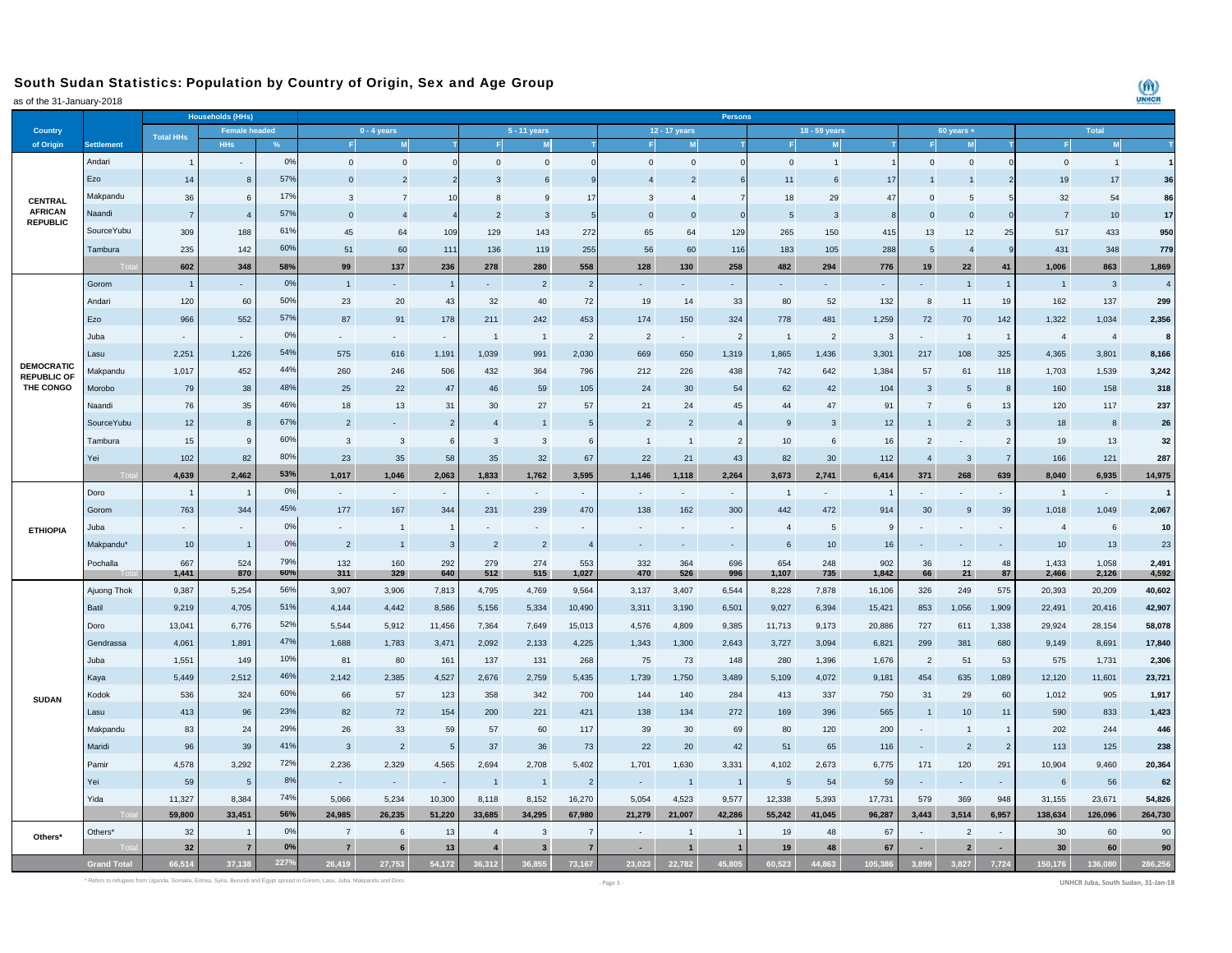## South Sudan Statistics: Population by Country of Origin, Sex and Age Group

as of the 31-January-2018

|                                   |                    |                  | <b>Households (HHs)</b> |            | Persons<br>18 - 59 years    |                             |                |                         |                          |                |                |                          |                |                |              |                |                |                |                |                |                |                |
|-----------------------------------|--------------------|------------------|-------------------------|------------|-----------------------------|-----------------------------|----------------|-------------------------|--------------------------|----------------|----------------|--------------------------|----------------|----------------|--------------|----------------|----------------|----------------|----------------|----------------|----------------|----------------|
| Country                           |                    | <b>Total HHs</b> | <b>Female headed</b>    |            | $0 - 4$ years               |                             |                | 5 - 11 years            |                          |                | 12 - 17 years  |                          |                |                |              | $60$ years +   |                | <b>Total</b>   |                |                |                |                |
| of Origin                         | <b>Settlement</b>  |                  | <b>HHs</b>              |            |                             | M                           |                |                         | M                        |                |                |                          |                |                | M            |                |                | M              |                |                |                |                |
|                                   | Andari             | $\overline{1}$   |                         | 0%         | $\Omega$                    | $\mathbf{0}$                | $\Omega$       | $\Omega$                | $\Omega$                 |                | $\mathbf{0}$   | $\mathbf{0}$             |                | $\Omega$       | $\mathbf{1}$ |                | $\mathbf 0$    | $\Omega$       |                | $\Omega$       | $\overline{1}$ | $\overline{1}$ |
|                                   | Ezo                | 14               | -8                      | 57%        | $\overline{0}$              | $\overline{2}$              |                | 3                       | -6                       |                |                | 2                        |                | 11             | 6            | 17             |                |                |                | 19             | 17             | 36             |
| <b>CENTRAL</b>                    | Makpandu           | 36               | 6                       | 17%        | 3                           | $\overline{7}$              | 1 <sup>1</sup> |                         | -9                       | 17             | 3              | $\Delta$                 |                | 18             | 29           | 47             | $\Omega$       | 5              |                | 32             | 54             | 86             |
| <b>AFRICAN</b><br><b>REPUBLIC</b> | Naandi             | $\overline{7}$   | $\overline{4}$          | 57%        | $\overline{0}$              | $\overline{4}$              |                | $\overline{2}$          | 3                        |                | $\mathbf{0}$   | $\mathbf{0}$             |                |                | 3            |                | $\circ$        | $\mathbf 0$    |                |                | 10             | 17             |
|                                   | SourceYubu         | 309              | 188                     | 61%        | 45                          | 64                          | 109            | 129                     | 143                      | 272            | 65             | 64                       | 129            | 265            | 150          | 415            | 13             | 12             | 25             | 517            | 433            | 950            |
|                                   | Tambura            | 235              | 142                     | 60%        | 51                          | 60                          | 111            | 136                     | 119                      | 255            | 56             | 60                       | 116            | 183            | 105          | 288            | 5              | $\overline{4}$ |                | 431            | 348            | 779            |
|                                   |                    | 602              | 348                     | 58%        | 99                          | 137                         | 236            | 278                     | 280                      | 558            | 128            | 130                      | 258            | 482            | 294          | 776            | 19             | 22             | 41             | 1,006          | 863            | 1,869          |
|                                   | Gorom              | $\overline{1}$   |                         | 0%         | $\overline{1}$              |                             |                |                         | $\overline{2}$           | $\overline{2}$ |                |                          |                |                |              |                |                |                | $\overline{1}$ | $\overline{1}$ | 3              | $\overline{4}$ |
|                                   | Andari             | 120              | 60                      | 50%        | 23                          | 20                          | 43             | 32                      | 40                       | 72             | 19             | 14                       | 33             | 80             | 52           | 132            | 8              | 11             | 19             | 162            | 137            | 299            |
|                                   | Ezo                | 966              | 552                     | 57%        | 87                          | 91                          | 178            | 211                     | 242                      | 453            | 174            | 150                      | 324            | 778            | 481          | 1,259          | 72             | $70\,$         | 142            | 1,322          | 1,034          | 2,356          |
|                                   | Juba.              |                  |                         | 0%         |                             | $\sim$                      | ٠              | $\overline{1}$          | $\overline{1}$           | $\overline{2}$ | $\overline{2}$ | $\sim$                   | $\overline{2}$ | $\overline{1}$ | 2            | $\mathbf{3}$   |                | $\overline{1}$ | $\overline{1}$ | $\overline{4}$ | $\overline{4}$ | 8              |
|                                   | Lasu               | 2,251            | 1,226                   | 54%        | 575                         | 616                         | 1,191          | 1,039                   | 991                      | 2,030          | 669            | 650                      | 1,319          | 1,865          | 1,436        | 3,301          | 217            | 108            | 325            | 4,365          | 3,801          | 8,166          |
| <b>DEMOCRATIC</b>                 | Makpandu           | 1,017            | 452                     | 44%        | 260                         | 246                         | 506            | 432                     | 364                      | 796            | 212            | 226                      | 438            | 742            | 642          | 1,384          | 57             | 61             | 118            | 1,703          | 1,539          | 3,242          |
| <b>REPUBLIC OF</b><br>THE CONGO   | Morobo             | 79               | 38                      | 48%        | 25                          | 22                          | 47             | 46                      | 59                       | 105            | 24             | 30                       | 54             | 62             | 42           | 104            | 3              | 5              | 8              | 160            | 158            | 318            |
|                                   | Naandi             | 76               | 35                      | 46%        | 18                          | 13                          | 31             | 30                      | 27                       | 57             | 21             | 24                       | 45             | 44             | 47           | 91             | $\overline{7}$ | 6              | 13             | 120            | 117            | 237            |
|                                   | SourceYubu         | 12               | 8                       | 67%        | $\overline{2}$              |                             | $\overline{2}$ | $\overline{4}$          | $\overline{1}$           |                | $\overline{2}$ | $\overline{2}$           |                | 9              | $\mathbf{3}$ | 12             | $\overline{1}$ | $\overline{2}$ | $\mathbf{3}$   | 18             | 8              | 26             |
|                                   | Tambura            | 15               | 9                       | 60%        | 3                           | 3                           | 6              | 3                       | 3                        | 6              | $\overline{1}$ | $\overline{1}$           | $\overline{2}$ | 10             | 6            | 16             | $\overline{2}$ |                | $\overline{2}$ | 19             | 13             | 32             |
|                                   | Yei                | 102              | 82                      | 80%        | 23                          | 35                          | 58             | 35                      | 32                       | 67             | 22             | 21                       | 43             | 82             | 30           | 112            | $\overline{4}$ | $\mathbf{3}$   | $\overline{7}$ | 166            | 121            | 287            |
|                                   |                    | 4,639            | 2,462                   | 53%        | 1,017                       | 1,046                       | 2.063          | 1,833                   | 1,762                    | 3,595          | 1,146          | 1,118                    | 2,264          | 3,673          | 2,741        | 6,414          | 371            | 268            | 639            | 8.040          | 6,935          | 14,975         |
|                                   | Doro               |                  |                         | 0%         | $\overline{\phantom{a}}$    | $\mathcal{L}_{\mathcal{A}}$ |                |                         | $\overline{\phantom{a}}$ |                | $\sim$         |                          | $\sim$         | $\overline{1}$ | $\sim$       | $\overline{1}$ |                |                |                | $\overline{1}$ | $\sim$         | $\mathbf{1}$   |
|                                   | Gorom              | 763              | 344                     | 45%        | 177                         | 167                         | 344            | 231                     | 239                      | 470            | 138            | 162                      | 300            | 442            | 472          | 914            | 30             | 9              | 39             | 1,018          | 1,049          | 2,067          |
|                                   | Juba               |                  |                         | 0%         | $\mathcal{L}_{\mathcal{A}}$ | $\overline{1}$              |                | $\sim$                  | ÷                        |                | $\blacksquare$ | $\overline{\phantom{a}}$ | $\sim$         | $\overline{4}$ | 5            | 9              |                |                |                | $\overline{4}$ | 6              | 10             |
| <b>ETHIOPIA</b>                   | Makpandu*          | 10               | -1                      | 0%         | $\overline{2}$              | $\overline{1}$              | 3              | $\overline{2}$          | $\overline{2}$           |                |                |                          | $\sim$         | 6              | 10           | 16             |                |                |                | 10             | 13             | 23             |
|                                   | Pochalla           | 667              | 524                     | 79%        | 132                         | 160                         | 292            | 279                     | 274                      | 553            | 332            | 364                      | 696            | 654            | 248          | 902            | 36             | 12             | 48             | 1,433          | 1,058          | 2,491          |
|                                   |                    | 1,441            | 870                     | 60%        | 311                         | 329                         | 640            | 512                     | 515                      | 1,027          | 470            | 526                      | 996            | 1,107          | 735          | 1,842          | 66             | 21             | 87             | 2,466          | 2,126          | 4,592          |
|                                   | Ajuong Thok        | 9,387            | 5,254                   | 56%        | 3,907                       | 3,906                       | 7,813          | 4,795                   | 4,769                    | 9,564          | 3,137          | 3,407                    | 6,544          | 8,228          | 7,878        | 16,106         | 326            | 249            | 575            | 20,393         | 20,209         | 40,602         |
|                                   | Batil              | 9,219            | 4,705                   | 51%        | 4,144                       | 4,442                       | 8,586          | 5,156                   | 5,334                    | 10,490         | 3,311          | 3,190                    | 6,501          | 9,027          | 6,394        | 15,421         | 853            | 1,056          | 1,909          | 22,491         | 20,416         | 42,907         |
|                                   | Doro               | 13,041           | 6,776                   | 52%        | 5,544                       | 5,912                       | 11,456         | 7,364                   | 7,649                    | 15,013         | 4,576          | 4,809                    | 9,385          | 11,713         | 9,173        | 20,886         | 727            | 611            | 1,338          | 29,924         | 28,154         | 58,078         |
|                                   | Gendrassa          | 4,061            | 1,891                   | 47%        | 1,688                       | 1,783                       | 3,471          | 2,092                   | 2,133                    | 4,225          | 1,343          | 1,300                    | 2,643          | 3,727          | 3,094        | 6,821          | 299            | 381            | 680            | 9,149          | 8,691          | 17,840         |
|                                   | Juba               | 1,551            | 149                     | 10%        | 81                          | 80                          | 161            | 137                     | 131                      | 268            | 75             | 73                       | 148            | 280            | 1,396        | 1,676          | $\overline{2}$ | 51             | 53             | 575            | 1,731          | 2,306          |
|                                   | Kaya               | 5,449            | 2,512                   | 46%        | 2,142                       | 2,385                       | 4,527          | 2,676                   | 2,759                    | 5,435          | 1,739          | 1,750                    | 3,489          | 5,109          | 4,072        | 9,181          | 454            | 635            | 1,089          | 12,120         | 11,601         | 23,721         |
| <b>SUDAN</b>                      | Kodok              | 536              | 324                     | 60%        | 66                          | 57                          | 123            | 358                     | 342                      | 700            | 144            | 140                      | 284            | 413            | 337          | 750            | 31             | 29             | 60             | 1.012          | 905            | 1,917          |
|                                   | Lasu               | 413              | 96                      | 23%        | 82                          | 72                          | 154            | 200                     | 221                      | 421            | 138            | 134                      | 272            | 169            | 396          | 565            | $\mathbf{1}$   | 10             | 11             | 590            | 833            | 1,423          |
|                                   | Makpandu           | 83               | 24                      | 29%        | 26                          | 33                          | 59             | 57                      | 60                       | 117            | 39             | 30                       | 69             | 80             | 120          | 200            |                | $\overline{1}$ | $\overline{1}$ | 202            | 244            | 446            |
|                                   | Maridi             | 96               | 39                      | 41%        | 3                           | $\overline{2}$              | 5              | 37                      | 36                       | 73             | 22             | 20                       | 42             | 51             | 65           | 116            | $\sim$         | $\overline{2}$ | $\overline{2}$ | 113            | 125            | 238            |
|                                   | Pamir              | 4,578            | 3,292                   | <b>72%</b> | 2,236                       | 2,329                       | 4,565          | 2,694                   | 2,708                    | 5,402          | 1,701          | 1,630                    | 3,331          | 4,102          | 2,673        | 6,775          | 171            | 120            | 291            | 10,904         | 9,460          | 20,364         |
|                                   | Yei                | 59               | -5                      | 8%         | $\sim$                      | $\sim$                      |                | $\mathbf{1}$            | $\overline{1}$           | $\overline{2}$ | $\sim$         | $\overline{1}$           |                | 5              | 54           | 59             | $\sim$         |                |                | 6              | 56             | 62             |
|                                   | Yida               | 11,327           | 8,384                   | 74%        | 5,066                       | 5,234                       | 10,300         | 8,118                   | 8,152                    | 16,270         | 5,054          | 4,523                    | 9,577          | 12,338         | 5,393        | 17,731         | 579            | 369            | 948            | 31,155         | 23,671         | 54,826         |
|                                   |                    | 59,800           | 33,451                  | 56%        | 24,985                      | 26,235                      | 51,220         | 33,685                  | 34,295                   | 67,980         | 21,279         | 21,007                   | 42,286         | 55,242         | 41,045       | 96,287         | 3,443          | 3,514          | 6,957          | 138,634        | 126,096        | 264,730        |
|                                   | Others*            | 32               |                         | 0%         | $\overline{7}$              | 6                           | 13             | $\overline{4}$          | 3                        |                |                |                          |                | 19             | 48           | 67             |                | $\overline{2}$ |                | 30             | 60             | 90             |
| Others*                           |                    | 32               | $\overline{7}$          | 0%         | $\overline{7}$              | 6                           | 13             | $\overline{\mathbf{4}}$ | $\overline{\mathbf{3}}$  | $\overline{7}$ | $\sim$         |                          |                | 19             | 48           | 67             | $\sim$         | $\overline{2}$ |                | 30             | 60             | 90             |
|                                   | <b>Grand Total</b> | 66.514           | 37.138                  | 227%       | 26.419                      | 27.753                      | 54,172         | 36.312                  | 36.855                   | 73.167         | 23.023         | 22.782                   | 45.805         | 60.523         | 44.863       | 105.386        | 3.899          | 3.827          | 7.724          | 150.176        | 136.080        | 286.256        |

 $\binom{m}{k}$ UNHCR